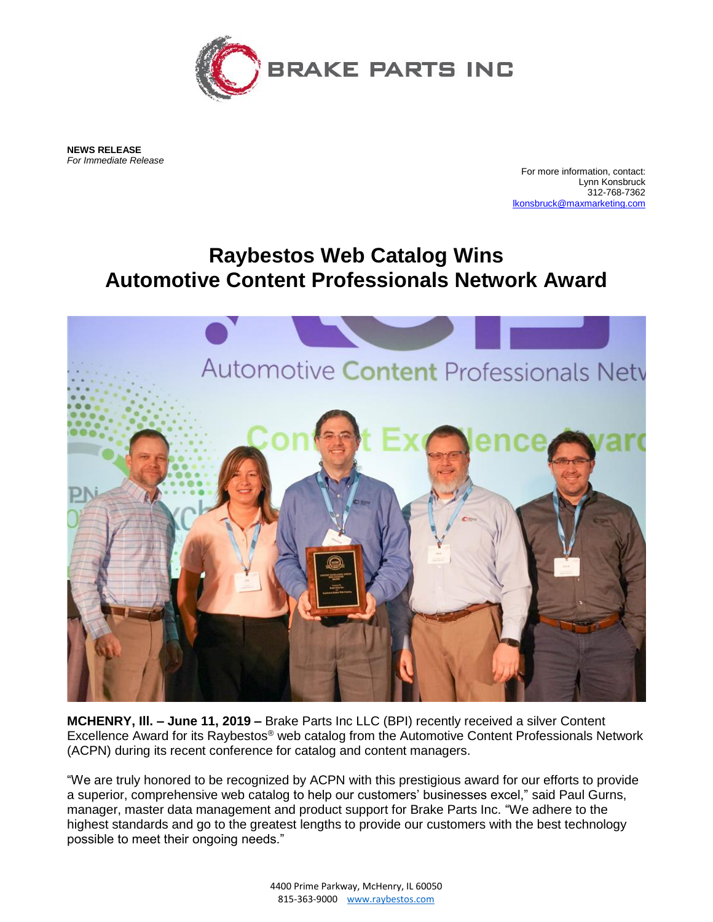

**NEWS RELEASE** *For Immediate Release*

For more information, contact: Lynn Konsbruck 312-768-7362 [lkonsbruck@maxmarketing.com](mailto:lkonsbruck@maxmarketing.com)

## **Raybestos Web Catalog Wins Automotive Content Professionals Network Award**



**MCHENRY, Ill. – June 11, 2019 –** Brake Parts Inc LLC (BPI) recently received a silver Content Excellence Award for its Raybestos® web catalog from the Automotive Content Professionals Network (ACPN) during its recent conference for catalog and content managers.

"We are truly honored to be recognized by ACPN with this prestigious award for our efforts to provide a superior, comprehensive web catalog to help our customers' businesses excel," said Paul Gurns, manager, master data management and product support for Brake Parts Inc. "We adhere to the highest standards and go to the greatest lengths to provide our customers with the best technology possible to meet their ongoing needs."